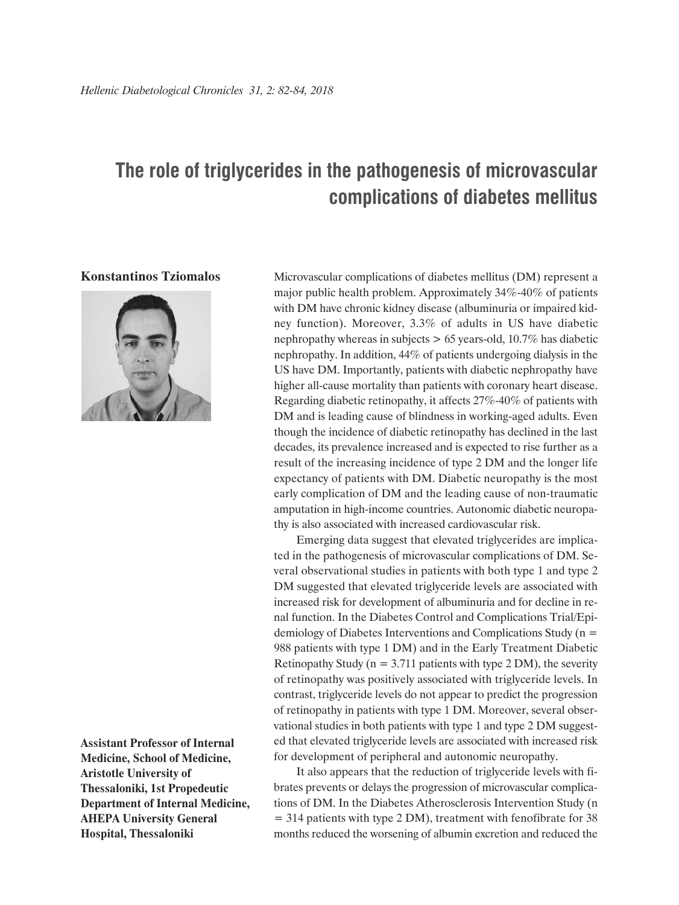## **The role of triglycerides in the pathogenesis of microvascular complications of diabetes mellitus**

## **Konstantinos Tziomalos**



**Assistant Professor of Internal Medicine, School of Medicine, Aristotle University of Thessaloniki, 1st Propedeutic Department of Internal Medicine, AHEPA University General Hospital, Thessaloniki**

Microvascular complications of diabetes mellitus (DM) represent a major public health problem. Approximately 34%-40% of patients with DM have chronic kidney disease (albuminuria or impaired kidney function). Moreover, 3.3% of adults in US have diabetic nephropathy whereas in subjects > 65 years-old, 10.7% has diabetic nephropathy. In addition, 44% of patients undergoing dialysis in the US have DM. Importantly, patients with diabetic nephropathy have higher all-cause mortality than patients with coronary heart disease. Regarding diabetic retinopathy, it affects 27%-40% of patients with DM and is leading cause of blindness in working-aged adults. Even though the incidence of diabetic retinopathy has declined in the last decades, its prevalence increased and is expected to rise further as a result of the increasing incidence of type 2 DM and the longer life expectancy of patients with DM. Diabetic neuropathy is the most early complication of DM and the leading cause of non-traumatic amputation in high-income countries. Autonomic diabetic neuropathy is also associated with increased cardiovascular risk.

Emerging data suggest that elevated triglycerides are implicated in the pathogenesis of microvascular complications of DM. Several observational studies in patients with both type 1 and type 2 DM suggested that elevated triglyceride levels are associated with increased risk for development of albuminuria and for decline in renal function. In the Diabetes Control and Complications Trial/Epidemiology of Diabetes Interventions and Complications Study (n = 988 patients with type 1 DM) and in the Early Treatment Diabetic Retinopathy Study ( $n = 3.711$  patients with type 2 DM), the severity of retinopathy was positively associated with triglyceride levels. In contrast, triglyceride levels do not appear to predict the progression of retinopathy in patients with type 1 DM. Moreover, several observational studies in both patients with type 1 and type 2 DM suggested that elevated triglyceride levels are associated with increased risk for development of peripheral and autonomic neuropathy.

It also appears that the reduction of triglyceride levels with fibrates prevents or delays the progression of microvascular complications of DM. In the Diabetes Atherosclerosis Intervention Study (n = 314 patients with type 2 DM), treatment with fenofibrate for 38 months reduced the worsening of albumin excretion and reduced the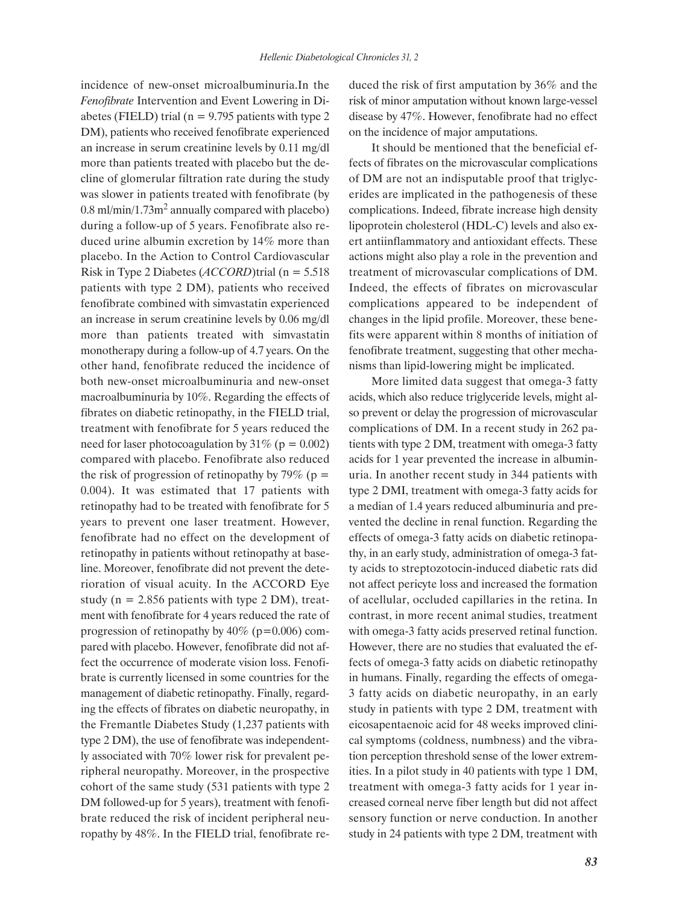incidence of new-onset microalbuminuria.In the *Fenofibrate* Intervention and Event Lowering in Diabetes (FIELD) trial ( $n = 9.795$  patients with type 2 DM), patients who received fenofibrate experienced an increase in serum creatinine levels by 0.11 mg/dl more than patients treated with placebo but the decline of glomerular filtration rate during the study was slower in patients treated with fenofibrate (by 0.8 ml/min/1.73m2 annually compared with placebo) during a follow-up of 5 years. Fenofibrate also reduced urine albumin excretion by 14% more than placebo. In the Action to Control Cardiovascular Risk in Type 2 Diabetes (*ACCORD*)trial (n = 5.518 patients with type 2 DM), patients who received fenofibrate combined with simvastatin experienced an increase in serum creatinine levels by 0.06 mg/dl more than patients treated with simvastatin monotherapy during a follow-up of 4.7 years. On the other hand, fenofibrate reduced the incidence of both new-onset microalbuminuria and new-onset macroalbuminuria by 10%. Regarding the effects of fibrates on diabetic retinopathy, in the FIELD trial, treatment with fenofibrate for 5 years reduced the need for laser photocoagulation by  $31\%$  (p = 0.002) compared with placebo. Fenofibrate also reduced the risk of progression of retinopathy by 79% ( $p =$ 0.004). It was estimated that 17 patients with retinopathy had to be treated with fenofibrate for 5 years to prevent one laser treatment. However, fenofibrate had no effect on the development of retinopathy in patients without retinopathy at baseline. Moreover, fenofibrate did not prevent the deterioration of visual acuity. In the ACCORD Eye study ( $n = 2.856$  patients with type 2 DM), treatment with fenofibrate for 4 years reduced the rate of progression of retinopathy by  $40\%$  (p=0.006) compared with placebo. However, fenofibrate did not affect the occurrence of moderate vision loss. Fenofibrate is currently licensed in some countries for the management of diabetic retinopathy. Finally, regarding the effects of fibrates on diabetic neuropathy, in the Fremantle Diabetes Study (1,237 patients with type 2 DM), the use of fenofibrate was independently associated with 70% lower risk for prevalent peripheral neuropathy. Moreover, in the prospective cohort of the same study (531 patients with type 2 DM followed-up for 5 years), treatment with fenofibrate reduced the risk of incident peripheral neuropathy by 48%. In the FIELD trial, fenofibrate reduced the risk of first amputation by 36% and the risk of minor amputation without known large-vessel disease by 47%. However, fenofibrate had no effect on the incidence of major amputations.

It should be mentioned that the beneficial effects of fibrates on the microvascular complications of DM are not an indisputable proof that triglycerides are implicated in the pathogenesis of these complications. Indeed, fibrate increase high density lipoprotein cholesterol (HDL-C) levels and also exert antiinflammatory and antioxidant effects. These actions might also play a role in the prevention and treatment of microvascular complications of DM. Indeed, the effects of fibrates on microvascular complications appeared to be independent of changes in the lipid profile. Moreover, these benefits were apparent within 8 months of initiation of fenofibrate treatment, suggesting that other mechanisms than lipid-lowering might be implicated.

More limited data suggest that omega-3 fatty acids, which also reduce triglyceride levels, might also prevent or delay the progression of microvascular complications of DM. In a recent study in 262 patients with type 2 DM, treatment with omega-3 fatty acids for 1 year prevented the increase in albuminuria. In another recent study in 344 patients with type 2 DMI, treatment with omega-3 fatty acids for a median of 1.4 years reduced albuminuria and prevented the decline in renal function. Regarding the effects of omega-3 fatty acids on diabetic retinopathy, in an early study, administration of omega-3 fatty acids to streptozotocin-induced diabetic rats did not affect pericyte loss and increased the formation of acellular, occluded capillaries in the retina. In contrast, in more recent animal studies, treatment with omega-3 fatty acids preserved retinal function. However, there are no studies that evaluated the effects of omega-3 fatty acids on diabetic retinopathy in humans. Finally, regarding the effects of omega-3 fatty acids on diabetic neuropathy, in an early study in patients with type 2 DM, treatment with eicosapentaenoic acid for 48 weeks improved clinical symptoms (coldness, numbness) and the vibration perception threshold sense of the lower extremities. In a pilot study in 40 patients with type 1 DM, treatment with omega-3 fatty acids for 1 year increased corneal nerve fiber length but did not affect sensory function or nerve conduction. In another study in 24 patients with type 2 DM, treatment with